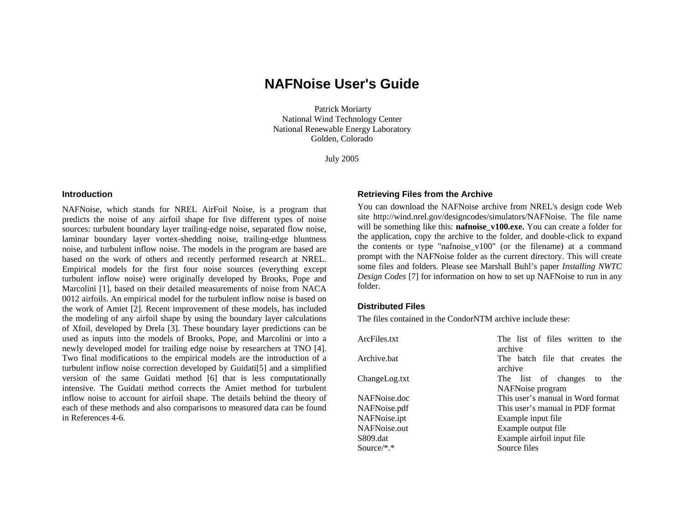# **NAFNoise User's Guide**

 Patrick Moriarty National Wind Technology Center National Renewable Energy Laboratory Golden, Colorado

July 2005

#### **Introduction**

NAFNoise, which stands for NREL AirFoil Noise, is a program that predicts the noise of any airfoil shape for five different types of noise sources: turbulent boundary layer trailing-edge noise, separated flow noise, laminar boundary layer vortex-shedding noise, trailing-edge bluntness noise, and turbulent inflow noise. The models in the program are based are based on the work of others and recently performed research at NREL. Empirical models for the first four noise sources (everything except turbulent inflow noise) were originally developed by Brooks, Pope and Marcolini [1], based on their detailed measurements of noise from NACA 0012 airfoils. An empirical model for the turbulent inflow noise is based on the work of Amiet [2]. Recent improvement of these models, has included the modeling of any airfoil shape by using the boundary layer calculations of Xfoil, developed by Drela [3]. These boundary layer predictions can be used as inputs into the models of Brooks, Pope, and Marcolini or into a newly developed model for trailing edge noise by researchers at TNO [4]. Two final modifications to the empirical models are the introduction of a turbulent inflow noise correction developed by Guidati[5] and a simplified version of the same Guidati method [6] that is less computationally intensive. The Guidati method corrects the Amiet method for turbulent inflow noise to account for airfoil shape. The details behind the theory of each of these methods and also comparisons to measured data can be found in References 4-6.

#### **Retrieving Files from the Archive**

You can download the NAFNoise archive from NREL's design code Web site http://wind.nrel.gov/designcodes/simulators/NAFNoise. The file name will be something like this: **nafnoise** v100.exe. You can create a folder for the application, copy the archive to the folder, and double-click to expand the contents or type "nafnoise\_v100" (or the filename) at a command prompt with the NAFNoise folder as the current directory. This will create some files and folders. Please see Marshall Buhl's paper *Installing NWTC Design Codes* [7] for information on how to set up NAFNoise to run in any folder.

## **Distributed Files**

The files contained in the CondorNTM archive include these:

| ArcFiles.txt  | The list of files written to the           |
|---------------|--------------------------------------------|
|               | archive                                    |
| Archive.bat   | The batch file that creates the<br>archive |
| ChangeLog.txt | The list of changes to<br>the              |
|               | NAFNoise program                           |
| NAFNoise.doc  | This user's manual in Word format          |
| NAFNoise.pdf  | This user's manual in PDF format           |
| NAFNoise.ipt  | Example input file                         |
| NAFNoise.out  | Example output file                        |
| S809.dat      | Example airfoil input file                 |
| Source/*.*    | Source files                               |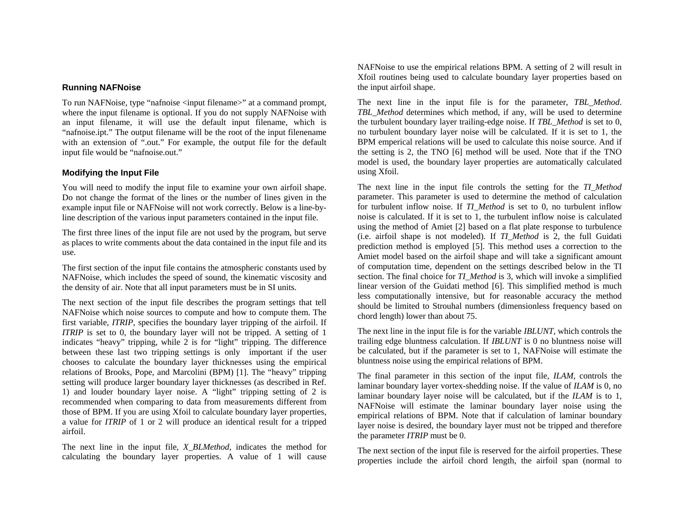## **Running NAFNoise**

To run NAFNoise, type "nafnoise <input filename>" at a command prompt, where the input filename is optional. If you do not supply NAFNoise with an input filename, it will use the default input filename, which is "nafnoise.ipt." The output filename will be the root of the input filenename with an extension of ".out." For example, the output file for the default input file would be "nafnoise.out."

## **Modifying the Input File**

You will need to modify the input file to examine your own airfoil shape. Do not change the format of the lines or the number of lines given in the example input file or NAFNoise will not work correctly. Below is a line-byline description of the various input parameters contained in the input file.

The first three lines of the input file are not used by the program, but serve as places to write comments about the data contained in the input file and its use.

The first section of the input file contains the atmospheric constants used by NAFNoise, which includes the speed of sound, the kinematic viscosity and the density of air. Note that all input parameters must be in SI units.

The next section of the input file describes the program settings that tell NAFNoise which noise sources to compute and how to compute them. The first variable, *ITRIP*, specifies the boundary layer tripping of the airfoil. If *ITRIP* is set to 0, the boundary layer will not be tripped. A setting of 1 indicates "heavy" tripping, while 2 is for "light" tripping. The difference between these last two tripping settings is only important if the user chooses to calculate the boundary layer thicknesses using the empirical relations of Brooks, Pope, and Marcolini (BPM) [1]. The "heavy" tripping setting will produce larger boundary layer thicknesses (as described in Ref. 1) and louder boundary layer noise. A "light" tripping setting of 2 is recommended when comparing to data from measurements different from those of BPM. If you are using Xfoil to calculate boundary layer properties, a value for *ITRIP* of 1 or 2 will produce an identical result for a tripped airfoil.

The next line in the input file, *X\_BLMethod*, indicates the method for calculating the boundary layer properties. A value of 1 will cause NAFNoise to use the empirical relations BPM. A setting of 2 will result in Xfoil routines being used to calculate boundary layer properties based on the input airfoil shape.

The next line in the input file is for the parameter, *TBL\_Method*. *TBL\_Method* determines which method, if any, will be used to determine the turbulent boundary layer trailing-edge noise. If *TBL\_Method* is set to 0, no turbulent boundary layer noise will be calculated. If it is set to 1, the BPM emperical relations will be used to calculate this noise source. And if the setting is 2, the TNO [6] method will be used. Note that if the TNO model is used, the boundary layer properties are automatically calculated using Xfoil.

The next line in the input file controls the setting for the *TI\_Method* parameter. This parameter is used to determine the method of calculation for turbulent inflow noise. If *TI\_Method* is set to 0, no turbulent inflow noise is calculated. If it is set to 1, the turbulent inflow noise is calculated using the method of Amiet [2] based on a flat plate response to turbulence (i.e. airfoil shape is not modeled). If *TI\_Method* is 2, the full Guidati prediction method is employed [5]. This method uses a correction to the Amiet model based on the airfoil shape and will take a significant amount of computation time, dependent on the settings described below in the TI section. The final choice for *TI\_Method* is 3, which will invoke a simplified linear version of the Guidati method [6]. This simplified method is much less computationally intensive, but for reasonable accuracy the method should be limited to Strouhal numbers (dimensionless frequency based on chord length) lower than about 75.

The next line in the input file is for the variable *IBLUNT*, which controls the trailing edge bluntness calculation. If *IBLUNT* is 0 no bluntness noise will be calculated, but if the parameter is set to 1, NAFNoise will estimate the bluntness noise using the empirical relations of BPM.

The final parameter in this section of the input file, *ILAM*, controls the laminar boundary layer vortex-shedding noise. If the value of *ILAM* is 0, no laminar boundary layer noise will be calculated, but if the *ILAM* is to 1, NAFNoise will estimate the laminar boundary layer noise using the empirical relations of BPM. Note that if calculation of laminar boundary layer noise is desired, the boundary layer must not be tripped and therefore the parameter *ITRIP* must be 0.

The next section of the input file is reserved for the airfoil properties. These properties include the airfoil chord length, the airfoil span (normal to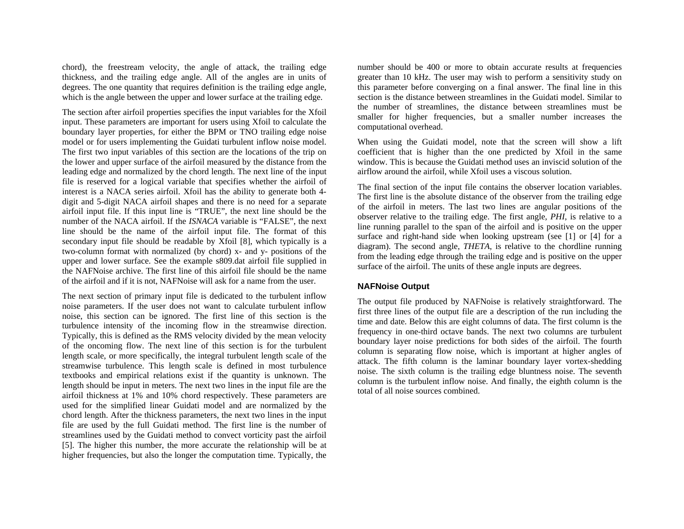chord), the freestream velocity, the angle of attack, the trailing edge thickness, and the trailing edge angle. All of the angles are in units of degrees. The one quantity that requires definition is the trailing edge angle, which is the angle between the upper and lower surface at the trailing edge.

The section after airfoil properties specifies the input variables for the Xfoil input. These parameters are important for users using Xfoil to calculate the boundary layer properties, for either the BPM or TNO trailing edge noise model or for users implementing the Guidati turbulent inflow noise model. The first two input variables of this section are the locations of the trip on the lower and upper surface of the airfoil measured by the distance from the leading edge and normalized by the chord length. The next line of the input file is reserved for a logical variable that specifies whether the airfoil of interest is a NACA series airfoil. Xfoil has the ability to generate both 4 digit and 5-digit NACA airfoil shapes and there is no need for a separate airfoil input file. If this input line is "TRUE", the next line should be the number of the NACA airfoil. If the *ISNACA* variable is "FALSE", the next line should be the name of the airfoil input file. The format of this secondary input file should be readable by Xfoil [8], which typically is a two-column format with normalized (by chord) x- and y- positions of the upper and lower surface. See the example s809.dat airfoil file supplied in the NAFNoise archive. The first line of this airfoil file should be the name of the airfoil and if it is not, NAFNoise will ask for a name from the user.

The next section of primary input file is dedicated to the turbulent inflow noise parameters. If the user does not want to calculate turbulent inflow noise, this section can be ignored. The first line of this section is the turbulence intensity of the incoming flow in the streamwise direction. Typically, this is defined as the RMS velocity divided by the mean velocity of the oncoming flow. The next line of this section is for the turbulent length scale, or more specifically, the integral turbulent length scale of the streamwise turbulence. This length scale is defined in most turbulence textbooks and empirical relations exist if the quantity is unknown. The length should be input in meters. The next two lines in the input file are the airfoil thickness at 1% and 10% chord respectively. These parameters are used for the simplified linear Guidati model and are normalized by the chord length. After the thickness parameters, the next two lines in the input file are used by the full Guidati method. The first line is the number of streamlines used by the Guidati method to convect vorticity past the airfoil [5]. The higher this number, the more accurate the relationship will be at higher frequencies, but also the longer the computation time. Typically, the

number should be 400 or more to obtain accurate results at frequencies greater than 10 kHz. The user may wish to perform a sensitivity study on this parameter before converging on a final answer. The final line in this section is the distance between streamlines in the Guidati model. Similar to the number of streamlines, the distance between streamlines must be smaller for higher frequencies, but a smaller number increases the computational overhead.

When using the Guidati model, note that the screen will show a lift coefficient that is higher than the one predicted by Xfoil in the same window. This is because the Guidati method uses an inviscid solution of the airflow around the airfoil, while Xfoil uses a viscous solution.

The final section of the input file contains the observer location variables. The first line is the absolute distance of the observer from the trailing edge of the airfoil in meters. The last two lines are angular positions of the observer relative to the trailing edge. The first angle, *PHI*, is relative to a line running parallel to the span of the airfoil and is positive on the upper surface and right-hand side when looking upstream (see [1] or [4] for a diagram). The second angle, *THETA*, is relative to the chordline running from the leading edge through the trailing edge and is positive on the upper surface of the airfoil. The units of these angle inputs are degrees.

## **NAFNoise Output**

The output file produced by NAFNoise is relatively straightforward. The first three lines of the output file are a description of the run including the time and date. Below this are eight columns of data. The first column is the frequency in one-third octave bands. The next two columns are turbulent boundary layer noise predictions for both sides of the airfoil. The fourth column is separating flow noise, which is important at higher angles of attack. The fifth column is the laminar boundary layer vortex-shedding noise. The sixth column is the trailing edge bluntness noise. The seventh column is the turbulent inflow noise. And finally, the eighth column is the total of all noise sources combined.